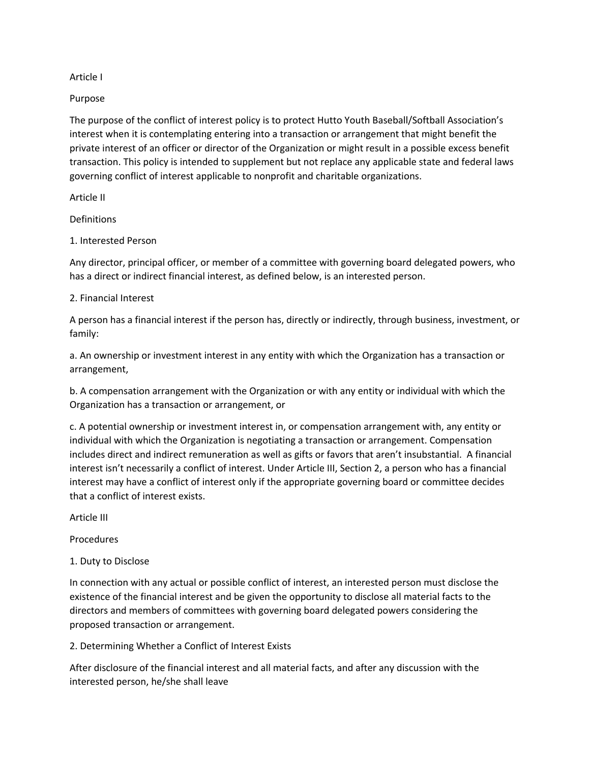### Article I

### Purpose

The purpose of the conflict of interest policy is to protect Hutto Youth Baseball/Softball Association's interest when it is contemplating entering into a transaction or arrangement that might benefit the private interest of an officer or director of the Organization or might result in a possible excess benefit transaction. This policy is intended to supplement but not replace any applicable state and federal laws governing conflict of interest applicable to nonprofit and charitable organizations.

Article II

Definitions

# 1. Interested Person

Any director, principal officer, or member of a committee with governing board delegated powers, who has a direct or indirect financial interest, as defined below, is an interested person.

# 2. Financial Interest

A person has a financial interest if the person has, directly or indirectly, through business, investment, or family:

a. An ownership or investment interest in any entity with which the Organization has a transaction or arrangement,

b. A compensation arrangement with the Organization or with any entity or individual with which the Organization has a transaction or arrangement, or

c. A potential ownership or investment interest in, or compensation arrangement with, any entity or individual with which the Organization is negotiating a transaction or arrangement. Compensation includes direct and indirect remuneration as well as gifts or favors that aren't insubstantial. A financial interest isn't necessarily a conflict of interest. Under Article III, Section 2, a person who has a financial interest may have a conflict of interest only if the appropriate governing board or committee decides that a conflict of interest exists.

Article III

Procedures

1. Duty to Disclose

In connection with any actual or possible conflict of interest, an interested person must disclose the existence of the financial interest and be given the opportunity to disclose all material facts to the directors and members of committees with governing board delegated powers considering the proposed transaction or arrangement.

2. Determining Whether a Conflict of Interest Exists

After disclosure of the financial interest and all material facts, and after any discussion with the interested person, he/she shall leave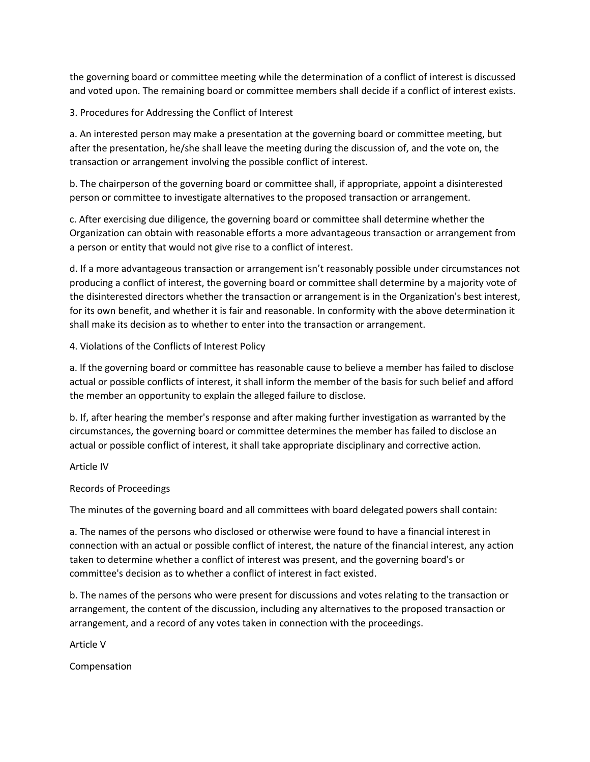the governing board or committee meeting while the determination of a conflict of interest is discussed and voted upon. The remaining board or committee members shall decide if a conflict of interest exists.

3. Procedures for Addressing the Conflict of Interest

a. An interested person may make a presentation at the governing board or committee meeting, but after the presentation, he/she shall leave the meeting during the discussion of, and the vote on, the transaction or arrangement involving the possible conflict of interest.

b. The chairperson of the governing board or committee shall, if appropriate, appoint a disinterested person or committee to investigate alternatives to the proposed transaction or arrangement.

c. After exercising due diligence, the governing board or committee shall determine whether the Organization can obtain with reasonable efforts a more advantageous transaction or arrangement from a person or entity that would not give rise to a conflict of interest.

d. If a more advantageous transaction or arrangement isn't reasonably possible under circumstances not producing a conflict of interest, the governing board or committee shall determine by a majority vote of the disinterested directors whether the transaction or arrangement is in the Organization's best interest, for its own benefit, and whether it is fair and reasonable. In conformity with the above determination it shall make its decision as to whether to enter into the transaction or arrangement.

4. Violations of the Conflicts of Interest Policy

a. If the governing board or committee has reasonable cause to believe a member has failed to disclose actual or possible conflicts of interest, it shall inform the member of the basis for such belief and afford the member an opportunity to explain the alleged failure to disclose.

b. If, after hearing the member's response and after making further investigation as warranted by the circumstances, the governing board or committee determines the member has failed to disclose an actual or possible conflict of interest, it shall take appropriate disciplinary and corrective action.

Article IV

Records of Proceedings

The minutes of the governing board and all committees with board delegated powers shall contain:

a. The names of the persons who disclosed or otherwise were found to have a financial interest in connection with an actual or possible conflict of interest, the nature of the financial interest, any action taken to determine whether a conflict of interest was present, and the governing board's or committee's decision as to whether a conflict of interest in fact existed.

b. The names of the persons who were present for discussions and votes relating to the transaction or arrangement, the content of the discussion, including any alternatives to the proposed transaction or arrangement, and a record of any votes taken in connection with the proceedings.

Article V

Compensation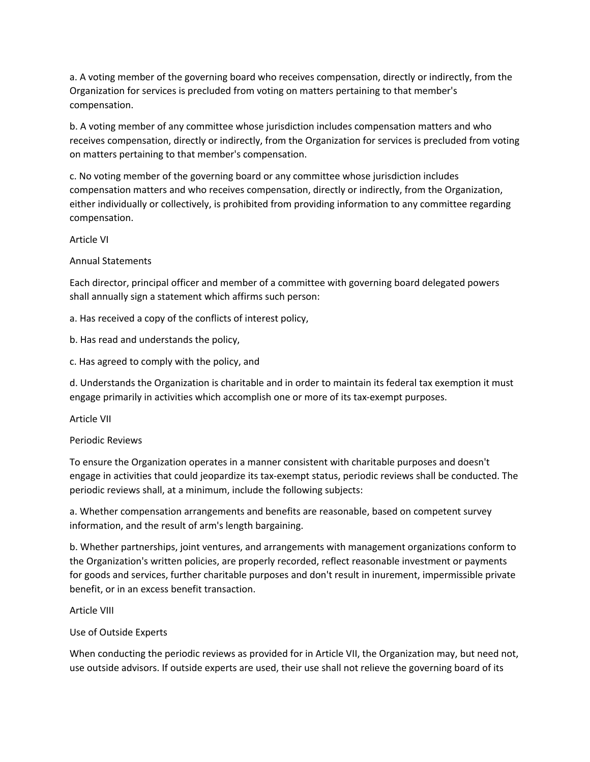a. A voting member of the governing board who receives compensation, directly or indirectly, from the Organization for services is precluded from voting on matters pertaining to that member's compensation.

b. A voting member of any committee whose jurisdiction includes compensation matters and who receives compensation, directly or indirectly, from the Organization for services is precluded from voting on matters pertaining to that member's compensation.

c. No voting member of the governing board or any committee whose jurisdiction includes compensation matters and who receives compensation, directly or indirectly, from the Organization, either individually or collectively, is prohibited from providing information to any committee regarding compensation.

### Article VI

# Annual Statements

Each director, principal officer and member of a committee with governing board delegated powers shall annually sign a statement which affirms such person:

a. Has received a copy of the conflicts of interest policy,

b. Has read and understands the policy,

c. Has agreed to comply with the policy, and

d. Understands the Organization is charitable and in order to maintain its federal tax exemption it must engage primarily in activities which accomplish one or more of its tax-exempt purposes.

Article VII

Periodic Reviews

To ensure the Organization operates in a manner consistent with charitable purposes and doesn't engage in activities that could jeopardize its tax-exempt status, periodic reviews shall be conducted. The periodic reviews shall, at a minimum, include the following subjects:

a. Whether compensation arrangements and benefits are reasonable, based on competent survey information, and the result of arm's length bargaining.

b. Whether partnerships, joint ventures, and arrangements with management organizations conform to the Organization's written policies, are properly recorded, reflect reasonable investment or payments for goods and services, further charitable purposes and don't result in inurement, impermissible private benefit, or in an excess benefit transaction.

Article VIII

### Use of Outside Experts

When conducting the periodic reviews as provided for in Article VII, the Organization may, but need not, use outside advisors. If outside experts are used, their use shall not relieve the governing board of its